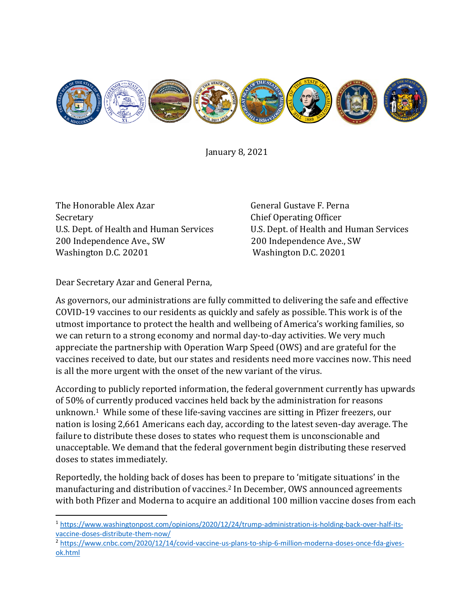

January 8, 2021

The Honorable Alex Azar General Gustave F. Perna U.S. Dept. of Health and Human Services U.S. Dept. of Health and Hum<br>200 Independence Ave., SW 200 Independence Ave., SW 200 Independence Ave., SW<br>Washington D.C. 20201

Secretary<br>
U.S. Dept. of Health and Human Services<br>
U.S. Dept. of Health and Human Services<br>
U.S. Dept. of Health and Human Services Washington D.C. 20201

Dear Secretary Azar and General Perna,

As governors, our administrations are fully committed to delivering the safe and effective COVID-19 vaccines to our residents as quickly and safely as possible. This work is of the utmost importance to protect the health and wellbeing of America's working families, so we can return to a strong economy and normal day-to-day activities. We very much appreciate the partnership with Operation Warp Speed (OWS) and are grateful for the vaccines received to date, but our states and residents need more vaccines now. This need is all the more urgent with the onset of the new variant of the virus.

According to publicly reported information, the federal government currently has upwards of 50% of currently produced vaccines held back by the administration for reasons unknown.[1](#page-0-0) While some of these life-saving vaccines are sitting in Pfizer freezers, our nation is losing 2,661 Americans each day, according to the latest seven-day average. The failure to distribute these doses to states who request them is unconscionable and unacceptable. We demand that the federal government begin distributing these reserved doses to states immediately.

Reportedly, the holding back of doses has been to prepare to 'mitigate situations' in the manufacturing and distribution of vaccines.[2](#page-0-1) In December, OWS announced agreements with both Pfizer and Moderna to acquire an additional 100 million vaccine doses from each

<span id="page-0-0"></span><sup>1</sup> [https://www.washingtonpost.com/opinions/2020/12/24/trump-administration-is-holding-back-over-half-its](https://www.washingtonpost.com/opinions/2020/12/24/trump-administration-is-holding-back-over-half-its-vaccine-doses-distribute-them-now/)[vaccine-doses-distribute-them-now/](https://www.washingtonpost.com/opinions/2020/12/24/trump-administration-is-holding-back-over-half-its-vaccine-doses-distribute-them-now/)

<span id="page-0-1"></span><sup>2</sup> [https://www.cnbc.com/2020/12/14/covid-vaccine-us-plans-to-ship-6-million-moderna-doses-once-fda-gives](https://www.cnbc.com/2020/12/14/covid-vaccine-us-plans-to-ship-6-million-moderna-doses-once-fda-gives-ok.html)[ok.html](https://www.cnbc.com/2020/12/14/covid-vaccine-us-plans-to-ship-6-million-moderna-doses-once-fda-gives-ok.html)